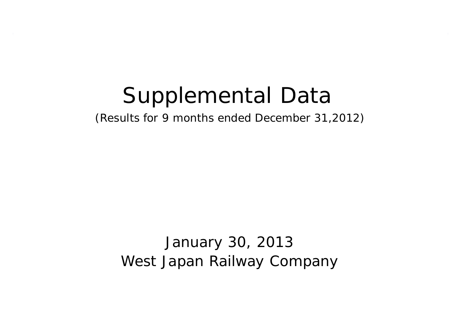# Supplemental Data

(Results for 9 months ended December 31,2012)

January 30, 2013 West Japan Railway Company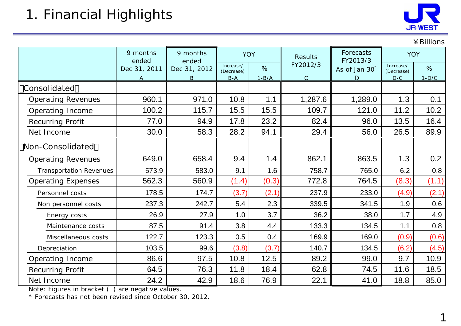

|                                |                   |                                 |                         |                |                       |                           |                         | ¥ Billions |
|--------------------------------|-------------------|---------------------------------|-------------------------|----------------|-----------------------|---------------------------|-------------------------|------------|
|                                | 9 months<br>ended | 9 months<br><b>YOY</b><br>ended |                         | <b>Results</b> | Forecasts<br>FY2013/3 | <b>YOY</b>                |                         |            |
|                                | Dec 31, 2011      | Dec 31, 2012                    | Increase/<br>(Decrease) | $\%$           | FY2012/3              | As of Jan 30 <sup>*</sup> | Increase/<br>(Decrease) | $\%$       |
|                                | A                 | $\mathsf B$                     | $B-A$                   | $1-B/A$        | $\mathsf C$           | D                         | $D-C$                   | $1-D/C$    |
| Consolidated                   |                   |                                 |                         |                |                       |                           |                         |            |
| <b>Operating Revenues</b>      | 960.1             | 971.0                           | 10.8                    | 1.1            | 1,287.6               | 1,289.0                   | 1.3                     | 0.1        |
| Operating Income               | 100.2             | 115.7                           | 15.5                    | 15.5           | 109.7                 | 121.0                     | 11.2                    | 10.2       |
| <b>Recurring Profit</b>        | 77.0              | 94.9                            | 17.8                    | 23.2           | 82.4                  | 96.0                      | 13.5                    | 16.4       |
| Net Income                     | 30.0              | 58.3                            | 28.2                    | 94.1           | 29.4                  | 56.0                      | 26.5                    | 89.9       |
| Non-Consolidated               |                   |                                 |                         |                |                       |                           |                         |            |
| <b>Operating Revenues</b>      | 649.0             | 658.4                           | 9.4                     | 1.4            | 862.1                 | 863.5                     | 1.3                     | 0.2        |
| <b>Transportation Revenues</b> | 573.9             | 583.0                           | 9.1                     | 1.6            | 758.7                 | 765.0                     | 6.2                     | 0.8        |
| <b>Operating Expenses</b>      | 562.3             | 560.9                           | (1.4)                   | (0.3)          | 772.8                 | 764.5                     | (8.3)                   | (1.1)      |
| Personnel costs                | 178.5             | 174.7                           | (3.7)                   | (2.1)          | 237.9                 | 233.0                     | (4.9)                   | (2.1)      |
| Non personnel costs            | 237.3             | 242.7                           | 5.4                     | 2.3            | 339.5                 | 341.5                     | 1.9                     | 0.6        |
| Energy costs                   | 26.9              | 27.9                            | 1.0                     | 3.7            | 36.2                  | 38.0                      | 1.7                     | 4.9        |
| Maintenance costs              | 87.5              | 91.4                            | 3.8                     | 4.4            | 133.3                 | 134.5                     | 1.1                     | 0.8        |
| Miscellaneous costs            | 122.7             | 123.3                           | 0.5                     | 0.4            | 169.9                 | 169.0                     | (0.9)                   | (0.6)      |
| Depreciation                   | 103.5             | 99.6                            | (3.8)                   | (3.7)          | 140.7                 | 134.5                     | (6.2)                   | (4.5)      |
| Operating Income               | 86.6              | 97.5                            | 10.8                    | 12.5           | 89.2                  | 99.0                      | 9.7                     | 10.9       |
| Recurring Profit               | 64.5              | 76.3                            | 11.8                    | 18.4           | 62.8                  | 74.5                      | 11.6                    | 18.5       |
| Net Income                     | 24.2              | 42.9                            | 18.6                    | 76.9           | 22.1                  | 41.0                      | 18.8                    | 85.0       |

Note: Figures in bracket ( ) are negative values.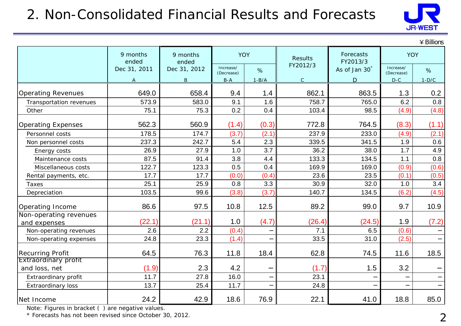## 2. Non-Consolidated Financial Results and Forecasts



|                                        |                   |                   |                         |         |              |                           |                         | $4$ Billions |
|----------------------------------------|-------------------|-------------------|-------------------------|---------|--------------|---------------------------|-------------------------|--------------|
|                                        | 9 months<br>ended | 9 months<br>ended | <b>YOY</b>              |         | Results      | Forecasts<br>FY2013/3     | <b>YOY</b>              |              |
|                                        | Dec 31, 2011      | Dec 31, 2012      | Increase/<br>(Decrease) | %       | FY2012/3     | As of Jan 30 <sup>*</sup> | Increase/<br>(Decrease) | %            |
|                                        | $\mathsf{A}$      | $\mathsf B$       | $B-A$                   | $1-B/A$ | $\mathsf{C}$ | D                         | $D-C$                   | $1-D/C$      |
| <b>Operating Revenues</b>              | 649.0             | 658.4             | 9.4                     | 1.4     | 862.1        | 863.5                     | 1.3                     | 0.2          |
| Transportation revenues                | 573.9             | 583.0             | 9.1                     | 1.6     | 758.7        | 765.0                     | 6.2                     | 0.8          |
| Other                                  | 75.1              | 75.3              | 0.2                     | 0.4     | 103.4        | 98.5                      | (4.9)                   | (4.8)        |
| <b>Operating Expenses</b>              | 562.3             | 560.9             | (1.4)                   | (0.3)   | 772.8        | 764.5                     | (8.3)                   | (1.1)        |
| Personnel costs                        | 178.5             | 174.7             | (3.7)                   | (2.1)   | 237.9        | 233.0                     | (4.9)                   | (2.1)        |
| Non personnel costs                    | 237.3             | 242.7             | 5.4                     | 2.3     | 339.5        | 341.5                     | 1.9                     | 0.6          |
| Energy costs                           | 26.9              | 27.9              | 1.0                     | 3.7     | 36.2         | 38.0                      | 1.7                     | 4.9          |
| Maintenance costs                      | 87.5              | 91.4              | 3.8                     | 4.4     | 133.3        | 134.5                     | 1.1                     | 0.8          |
| Miscellaneous costs                    | 122.7             | 123.3             | 0.5                     | 0.4     | 169.9        | 169.0                     | (0.9)                   | (0.6)        |
| Rental payments, etc.                  | 17.7              | 17.7              | (0.0)                   | (0.4)   | 23.6         | 23.5                      | (0.1)                   | (0.5)        |
| Taxes                                  | 25.1              | 25.9              | 0.8                     | 3.3     | 30.9         | 32.0                      | 1.0                     | 3.4          |
| Depreciation                           | 103.5             | 99.6              | (3.8)                   | (3.7)   | 140.7        | 134.5                     | (6.2)                   | (4.5)        |
| Operating Income                       | 86.6              | 97.5              | 10.8                    | 12.5    | 89.2         | 99.0                      | 9.7                     | 10.9         |
| Non-operating revenues                 | (22.1)            | (21.1)            | 1.0                     | (4.7)   | (26.4)       | (24.5)                    | 1.9                     |              |
| and expenses<br>Non-operating revenues | 2.6               | 2.2               | (0.4)                   |         | 7.1          | 6.5                       | (0.6)                   | (7.2)        |
| Non-operating expenses                 | 24.8              | 23.3              | (1.4)                   |         | 33.5         | 31.0                      | (2.5)                   |              |
|                                        |                   |                   |                         |         |              |                           |                         |              |
| <b>Recurring Profit</b>                | 64.5              | 76.3              | 11.8                    | 18.4    | 62.8         | 74.5                      | 11.6                    | 18.5         |
| <b>Extraordinary profit</b>            |                   |                   |                         |         |              |                           |                         |              |
| and loss, net                          | (1.9)             | 2.3               | 4.2                     |         | (1.7)        | 1.5                       | 3.2                     |              |
| Extraordinary profit                   | 11.7              | 27.8              | 16.0                    |         | 23.1         |                           |                         |              |
| <b>Extraordinary loss</b>              | 13.7              | 25.4              | 11.7                    |         | 24.8         |                           |                         |              |
| Net Income                             | 24.2              | 42.9              | 18.6                    | 76.9    | 22.1         | 41.0                      | 18.8                    | 85.0         |

Note: Figures in bracket ( ) are negative values.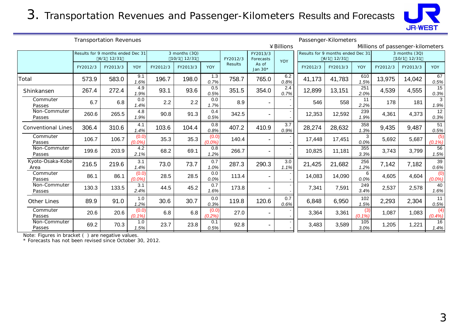3. Transportation Revenues and Passenger-Kilometers Results and Forecasts



| <b>Transportation Revenues</b> |          |                                                |                    |          |                             | Passenger-Kilometers                           |          |                              |                          |                                                                                            |          |                  |          |          |                         |
|--------------------------------|----------|------------------------------------------------|--------------------|----------|-----------------------------|------------------------------------------------|----------|------------------------------|--------------------------|--------------------------------------------------------------------------------------------|----------|------------------|----------|----------|-------------------------|
|                                |          |                                                |                    |          |                             | ¥ Billions<br>Millions of passenger-kilometers |          |                              |                          |                                                                                            |          |                  |          |          |                         |
|                                |          | Results for 9 months ended Dec 31<br>4/1 12/31 |                    |          | 3 months (3Q)<br>10/1 12/31 |                                                | FY2012/3 | FY2013/3<br>Forecasts<br>YOY |                          | $\overline{3}$ months (3Q)<br>Results for 9 months ended Dec 31<br>4/1 12/31<br>10/1 12/31 |          |                  |          |          |                         |
|                                | FY2012/3 | FY2013/3                                       | YOY                | FY2012/3 | FY2013/3                    | <b>YOY</b>                                     | Results  | As of<br>Jan 30*             |                          | FY2012/3                                                                                   | FY2013/3 | <b>YOY</b>       | FY2012/3 | FY2013/3 | <b>YOY</b>              |
| Total                          | 573.9    | 583.0                                          | 9.1<br>1.6%        | 196.7    | 198.0                       | 1.3<br>0.7%                                    | 758.7    | 765.0                        | 6.2<br>0.8%              | 41,173                                                                                     | 41,783   | 610<br>1.5%      | 13,975   | 14,042   | 67<br>0.5%              |
| Shinkansen                     | 267.4    | 272.4                                          | 4.9<br>1.9%        | 93.1     | 93.6                        | 0.5<br>0.5%                                    | 351.5    | 354.0                        | 2.4<br>0.7%              | 12,899                                                                                     | 13,151   | 251<br>2.0%      | 4,539    | 4,555    | 15<br>0.3%              |
| Commuter<br>Passes             | 6.7      | 6.8                                            | 0.0<br>1.4%        | 2.2      | 2.2                         | 0.0<br>1.7%                                    | 8.9      | $\overline{\phantom{0}}$     |                          | 546                                                                                        | 558      | 11<br>2.2%       | 178      | 181      | 3<br>1.9%               |
| Non-Commuter<br>Passes         | 260.6    | 265.5                                          | 4.8<br>1.9%        | 90.8     | 91.3                        | 0.4<br>0.5%                                    | 342.5    |                              |                          | 12,353                                                                                     | 12,592   | 239<br>1.9%      | 4,361    | 4,373    | 12<br>0.3%              |
| <b>Conventional Lines</b>      | 306.4    | 310.6                                          | 4.1<br>1.4%        | 103.6    | 104.4                       | 0.8<br>0.8%                                    | 407.2    | 410.9                        | $\overline{3.7}$<br>0.9% | 28,274                                                                                     | 28,632   | 358<br>1.3%      | 9,435    | 9,487    | $\overline{51}$<br>0.5% |
| Commuter<br>Passes             | 106.7    | 106.7                                          | (0.0)<br>$(0.0\%)$ | 35.3     | 35.3                        | (0.0)<br>(0.0%                                 | 140.4    | $\overline{\phantom{a}}$     |                          | 17,448                                                                                     | 17,451   | 3<br>0.0%        | 5,692    | 5,687    | (5)<br>$(0.1\%)$        |
| Non-Commuter<br>Passes         | 199.6    | 203.9                                          | 4.2<br>2.1%        | 68.2     | 69.1                        | 0.8<br>1.2%                                    | 266.7    |                              |                          | 10,825                                                                                     | 11,181   | 355<br>3.3%      | 3,743    | 3,799    | 56<br>1.5%              |
| Kyoto-Osaka-Kobe<br>Area       | 216.5    | 219.6                                          | 3.1<br>1.4%        | 73.0     | 73.7                        | 0.7<br>1.0%                                    | 287.3    | 290.3                        | 3.0<br>1.1%              | 21,425                                                                                     | 21,682   | 256<br>1.2%      | 7,142    | 7,182    | 39<br>0.6%              |
| Commuter<br>Passes             | 86.1     | 86.1                                           | (0.0)<br>$(0.0\%)$ | 28.5     | 28.5                        | 0.0<br>0.0%                                    | 113.4    | $\overline{\phantom{a}}$     |                          | 14,083                                                                                     | 14,090   | 6<br>0.0%        | 4,605    | 4,604    | (0)<br>$(0.0\%)$        |
| Non-Commuter<br>Passes         | 130.3    | 133.5                                          | 3.1<br>2.4%        | 44.5     | 45.2                        | 0.7<br>1.6%                                    | 173.8    |                              |                          | 7,341                                                                                      | 7,591    | 249<br>3.4%      | 2,537    | 2,578    | 40<br>1.6%              |
| <b>Other Lines</b>             | 89.9     | 91.0                                           | 1.0<br>1.2%        | 30.6     | 30.7                        | 0.0<br>0.3%                                    | 119.8    | 120.6                        | 0.7<br>0.6%              | 6,848                                                                                      | 6,950    | 102<br>1.5%      | 2,293    | 2,304    | 11<br>0.5%              |
| Commuter<br>Passes             | 20.6     | 20.6                                           | (0.0)<br>$(0.1\%)$ | 6.8      | 6.8                         | (0.0)<br>(0.2%                                 | 27.0     | $\overline{\phantom{a}}$     |                          | 3,364                                                                                      | 3,361    | (3)<br>$(0.1\%)$ | 1,087    | 1,083    | (4)<br>$(0.4\%)$        |
| Non-Commuter<br>Passes         | 69.2     | 70.3                                           | 1.0<br>1.5%        | 23.7     | 23.8                        | 0.1<br>0.5%                                    | 92.8     | $\overline{\phantom{a}}$     |                          | 3,483                                                                                      | 3,589    | 105<br>3.0%      | 1,205    | 1,221    | 16<br>1.4%              |

Note: Figures in bracket ( ) are negative values.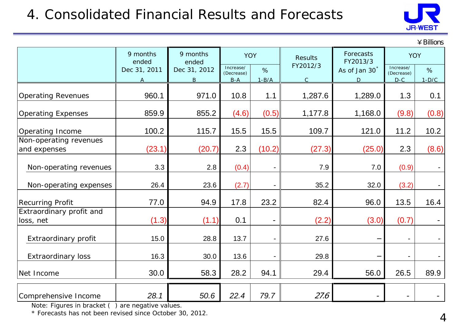## 4. Consolidated Financial Results and Forecasts



 $\angle$  Rillions

|                                        | 9 months<br>9 months<br>ended |                            | <b>YOY</b>                       |                 | <b>Results</b>          | Forecasts                                  | <b>YOY</b>                       |              |
|----------------------------------------|-------------------------------|----------------------------|----------------------------------|-----------------|-------------------------|--------------------------------------------|----------------------------------|--------------|
|                                        | Dec 31, 2011<br>A             | ended<br>Dec 31, 2012<br>B | Increase/<br>(Decrease)<br>$B-A$ | $\%$<br>$1-B/A$ | FY2012/3<br>$\mathsf C$ | FY2013/3<br>As of Jan 30 <sup>*</sup><br>D | Increase/<br>(Decrease)<br>$D-C$ | %<br>$1-D/C$ |
| <b>Operating Revenues</b>              | 960.1                         | 971.0                      | 10.8                             | 1.1             | 1,287.6                 | 1,289.0                                    | 1.3                              | 0.1          |
| <b>Operating Expenses</b>              | 859.9                         | 855.2                      | (4.6)                            | (0.5)           | 1,177.8                 | 1,168.0                                    | (9.8)                            | (0.8)        |
| Operating Income                       | 100.2                         | 115.7                      | 15.5                             | 15.5            | 109.7                   | 121.0                                      | 11.2                             | 10.2         |
| Non-operating revenues<br>and expenses | (23.1)                        | (20.7)                     | 2.3                              | (10.2)          | (27.3)                  | (25.0)                                     | 2.3                              | (8.6)        |
| Non-operating revenues                 | 3.3                           | 2.8                        | (0.4)                            |                 | 7.9                     | 7.0                                        | (0.9)                            |              |
| Non-operating expenses                 | 26.4                          | 23.6                       | (2.7)                            |                 | 35.2                    | 32.0                                       | (3.2)                            |              |
| <b>Recurring Profit</b>                | 77.0                          | 94.9                       | 17.8                             | 23.2            | 82.4                    | 96.0                                       | 13.5                             | 16.4         |
| Extraordinary profit and<br>loss, net  | (1.3)                         | (1.1)                      | 0.1                              |                 | (2.2)                   | (3.0)                                      | (0.7)                            |              |
| Extraordinary profit                   | 15.0                          | 28.8                       | 13.7                             |                 | 27.6                    |                                            | $-$                              |              |
| <b>Extraordinary loss</b>              | 16.3                          | 30.0                       | 13.6                             |                 | 29.8                    |                                            | $\overline{\phantom{a}}$         |              |
| Net Income                             | 30.0                          | 58.3                       | 28.2                             | 94.1            | 29.4                    | 56.0                                       | 26.5                             | 89.9         |
| Comprehensive Income                   | 28.1                          | 50.6                       | 22.4                             | 79.7            | 27.6                    |                                            |                                  |              |

Note: Figures in bracket ( ) are negative values.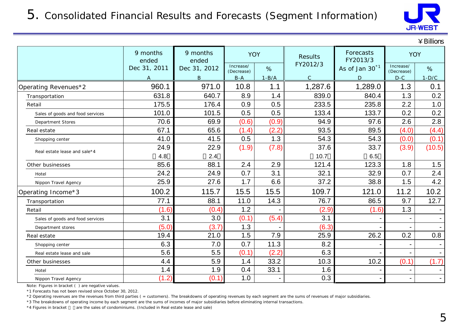

 $Y$  Rillions

|                                  |                   |                   |                         |         |                |                            |                         | + ошил         |
|----------------------------------|-------------------|-------------------|-------------------------|---------|----------------|----------------------------|-------------------------|----------------|
|                                  | 9 months<br>ended | 9 months<br>ended | <b>YOY</b>              |         | <b>Results</b> | Forecasts<br>FY2013/3      | <b>YOY</b>              |                |
|                                  | Dec 31, 2011      | Dec 31, 2012      | Increase/<br>(Decrease) | %       | FY2012/3       | As of Jan 30 <sup>*1</sup> | Increase/<br>(Decrease) | %              |
|                                  | A                 | B                 | $B-A$                   | $1-B/A$ | $\mathsf{C}$   | D                          | $D-C$                   | $1-D/C$        |
| Operating Revenues*2             | 960.1             | 971.0             | 10.8                    | 1.1     | 1,287.6        | 1,289.0                    | 1.3                     | 0.1            |
| Transportation                   | 631.8             | 640.7             | 8.9                     | 1.4     | 839.0          | 840.4                      | 1.3                     | 0.2            |
| Retail                           | 175.5             | 176.4             | 0.9                     | 0.5     | 233.5          | 235.8                      | 2.2                     | 1.0            |
| Sales of goods and food services | 101.0             | 101.5             | 0.5                     | 0.5     | 133.4          | 133.7                      | 0.2                     | 0.2            |
| <b>Department Stores</b>         | 70.6              | 69.9              | (0.6)                   | (0.9)   | 94.9           | 97.6                       | 2.6                     | 2.8            |
| Real estate                      | 67.1              | 65.6              | (1.4)                   | (2.2)   | 93.5           | 89.5                       | (4.0)                   | (4.4)          |
| Shopping center                  | 41.0              | 41.5              | 0.5                     | 1.3     | 54.3           | 54.3                       | (0.0)                   | (0.1)          |
| Real estate lease and sale*4     | 24.9              | 22.9              | (1.9)                   | (7.8)   | 37.6           | 33.7                       | (3.9)                   | (10.5)         |
|                                  | 4.8               | 2.4               |                         |         | 10.7           | 6.5                        |                         |                |
| Other businesses                 | 85.6              | 88.1              | 2.4                     | 2.9     | 121.4          | 123.3                      | 1.8                     | 1.5            |
| Hotel                            | 24.2              | 24.9              | 0.7                     | 3.1     | 32.1           | 32.9                       | 0.7                     | 2.4            |
| Nippon Travel Agency             | 25.9              | 27.6              | 1.7                     | 6.6     | 37.2           | 38.8                       | 1.5                     | 4.2            |
| Operating Income*3               | 100.2             | 115.7             | 15.5                    | 15.5    | 109.7          | 121.0                      | 11.2                    | 10.2           |
| Transportation                   | 77.1              | 88.1              | 11.0                    | 14.3    | 76.7           | 86.5                       | 9.7                     | 12.7           |
| Retail                           | (1.6)             | (0.4)             | 1.2                     |         | (2.9)          | (1.6)                      | 1.3                     |                |
| Sales of goods and food services | 3.1               | 3.0               | (0.1)                   | (5.4)   | 3.1            |                            |                         |                |
| Department stores                | (5.0)             | (3.7)             | 1.3                     |         | (6.3)          |                            |                         |                |
| Real estate                      | 19.4              | 21.0              | 1.5                     | 7.9     | 25.9           | 26.2                       | 0.2                     | 0.8            |
| Shopping center                  | 6.3               | 7.0               | 0.7                     | 11.3    | 8.2            |                            |                         |                |
| Real estate lease and sale       | 5.6               | 5.5               | (0.1)                   | (2.2)   | 6.3            |                            |                         |                |
| Other businesses                 | 4.4               | 5.9               | 1.4                     | 33.2    | 10.3           | 10.2                       | (0.1)                   | (1.7)          |
| Hotel                            | 1.4               | 1.9               | 0.4                     | 33.1    | 1.6            |                            |                         |                |
| Nippon Travel Agency             | (1.2)             | (0.1)             | 1.0                     |         | 0.3            |                            |                         | $\blacksquare$ |

Note: Figures in bracket ( ) are negative values.

\*1 Forecasts has not been revised since October 30, 2012.

\*2 Operating revenues are the revenues from third parties ( = customers). The breakdowns of operating revenues by each segment are the sums of revenues of major subsidiaries.

\*3 The breakdowns of operating income by each segment are the sums of incomes of major subsidiaries before eliminating internal transactions.

\*4 Figures in bracket are the sales of condominiums. (Included in Real estate lease and sale)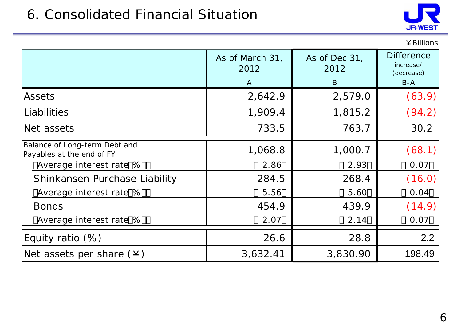### 6. Consolidated Financial Situation



|                                                                                       |                                         |                            | ¥ Billions                                            |
|---------------------------------------------------------------------------------------|-----------------------------------------|----------------------------|-------------------------------------------------------|
|                                                                                       | As of March 31,<br>2012<br>$\mathsf{A}$ | As of Dec 31,<br>2012<br>B | <b>Difference</b><br>increase/<br>(decrease)<br>$B-A$ |
| Assets                                                                                | 2,642.9                                 | 2,579.0                    | (63.9)                                                |
| Liabilities                                                                           | 1,909.4                                 | 1,815.2                    | (94.2)                                                |
| Net assets                                                                            | 733.5                                   | 763.7                      | 30.2                                                  |
| Balance of Long-term Debt and<br>Payables at the end of FY<br>Average interest rate % | 1,068.8<br>2.86                         | 1,000.7<br>2.93            | (68.1)<br>0.07                                        |
| Shinkansen Purchase Liability                                                         | 284.5                                   | 268.4                      | (16.0)                                                |
| Average interest rate %                                                               | 5.56                                    | 5.60                       | 0.04                                                  |
| <b>Bonds</b>                                                                          | 454.9                                   | 439.9                      | (14.9)                                                |
| Average interest rate %                                                               | 2.07                                    | 2.14                       | 0.07                                                  |
| Equity ratio $(\%)$                                                                   | 26.6                                    | 28.8                       | 2.2                                                   |
| Net assets per share $(*)$                                                            | 3,632.41                                | 3,830.90                   | 198.49                                                |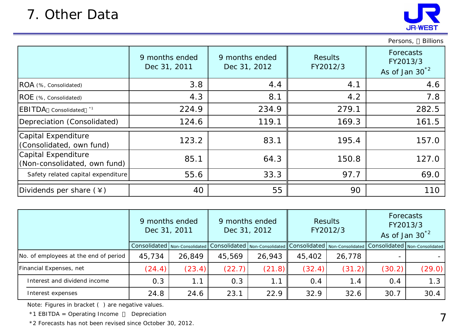

Persons, Billions

|                                                     | 9 months ended<br>Dec 31, 2011 | 9 months ended<br>Dec 31, 2012 | <b>Results</b><br>FY2012/3 | Forecasts<br>FY2013/3<br>As of Jan $30^{2}$ |
|-----------------------------------------------------|--------------------------------|--------------------------------|----------------------------|---------------------------------------------|
| ROA (%, Consolidated)                               | 3.8                            | 4.4                            | 4.1                        | 4.6                                         |
| ROE (%, Consolidated)                               | 4.3                            | 8.1                            | 4.2                        | 7.8                                         |
| <b>EBITDA</b> Consolidated *1                       | 224.9                          | 234.9                          | 279.1                      | 282.5                                       |
| Depreciation (Consolidated)                         | 124.6                          | 119.1                          | 169.3                      | 161.5                                       |
| Capital Expenditure<br>(Consolidated, own fund)     | 123.2                          | 83.1                           | 195.4                      | 157.0                                       |
| Capital Expenditure<br>(Non-consolidated, own fund) | 85.1                           | 64.3                           | 150.8                      | 127.0                                       |
| Safety related capital expenditure                  | 55.6                           | 33.3                           | 97.7                       | 69.0                                        |
| Dividends per share $(\yen)$                        | 40                             | 55                             | 90                         | 110                                         |

|                                       | 9 months ended<br>Dec 31, 2011 |        |        | 9 months ended<br>Dec 31, 2012                                                                      |        | <b>Results</b><br>FY2012/3 | <b>Forecasts</b><br>FY2013/3<br>As of Jan $30^{2}$ |        |
|---------------------------------------|--------------------------------|--------|--------|-----------------------------------------------------------------------------------------------------|--------|----------------------------|----------------------------------------------------|--------|
|                                       |                                |        |        | Consolidated   Non-Consolidated   Consolidated   Non-Consolidated   Consolidated   Non-Consolidated |        |                            | Consolidated   Non-Consolidated                    |        |
| No. of employees at the end of period | 45,734                         | 26,849 | 45,569 | 26,943                                                                                              | 45,402 | 26,778                     |                                                    |        |
| Financial Expenses, net               | (24.4)                         | (23.4) | (22.7) | (21.8)                                                                                              | (32.4) | (31.2)                     | (30.2)                                             | (29.0) |
| Interest and dividend income          | 0.3                            | 1.1    | 0.3    |                                                                                                     | 0.4    | 1.4                        | 0.4                                                | 1.3    |
| Interest expenses                     | 24.8                           | 24.6   | 23.1   | 22.9                                                                                                | 32.9   | 32.6                       | 30.7                                               | 30.4   |

Note: Figures in bracket ( ) are negative values.

\*1 EBITDA = Operating Income Depreciation